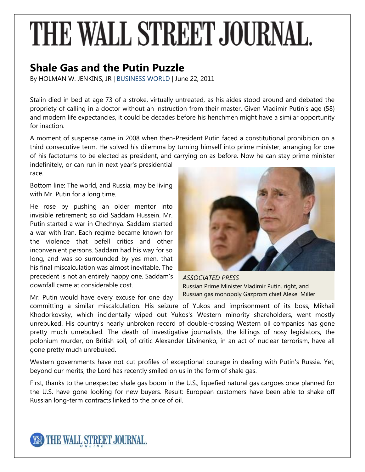## THE WALL STREET JOURNAL.

## **Shale Gas and the Putin Puzzle**

By HOLMAN W. JENKINS, JR | [BUSINESS WORLD](http://online.wsj.com/public/search?article-doc-type=%7BBusiness+World%7D&HEADER_TEXT=business+world) | June 22, 2011

Stalin died in bed at age 73 of a stroke, virtually untreated, as his aides stood around and debated the propriety of calling in a doctor without an instruction from their master. Given Vladimir Putin's age (58) and modern life expectancies, it could be decades before his henchmen might have a similar opportunity for inaction.

A moment of suspense came in 2008 when then-President Putin faced a constitutional prohibition on a third consecutive term. He solved his dilemma by turning himself into prime minister, arranging for one of his factotums to be elected as president, and carrying on as before. Now he can stay prime minister indefinitely, or can run in next year's presidential

race.

Bottom line: The world, and Russia, may be living with Mr. Putin for a long time.

He rose by pushing an older mentor into invisible retirement; so did Saddam Hussein. Mr. Putin started a war in Chechnya. Saddam started a war with Iran. Each regime became known for the violence that befell critics and other inconvenient persons. Saddam had his way for so long, and was so surrounded by yes men, that his final miscalculation was almost inevitable. The precedent is not an entirely happy one. Saddam's downfall came at considerable cost.

Mr. Putin would have every excuse for one day



*ASSOCIATED PRESS* Russian Prime Minister Vladimir Putin, right, and Russian gas monopoly Gazprom chief Alexei Miller

committing a similar miscalculation. His seizure of Yukos and imprisonment of its boss, Mikhail Khodorkovsky, which incidentally wiped out Yukos's Western minority shareholders, went mostly unrebuked. His country's nearly unbroken record of double-crossing Western oil companies has gone pretty much unrebuked. The death of investigative journalists, the killings of nosy legislators, the polonium murder, on British soil, of critic Alexander Litvinenko, in an act of nuclear terrorism, have all gone pretty much unrebuked.

Western governments have not cut profiles of exceptional courage in dealing with Putin's Russia. Yet, beyond our merits, the Lord has recently smiled on us in the form of shale gas.

First, thanks to the unexpected shale gas boom in the U.S., liquefied natural gas cargoes once planned for the U.S. have gone looking for new buyers. Result: European customers have been able to shake off Russian long-term contracts linked to the price of oil.